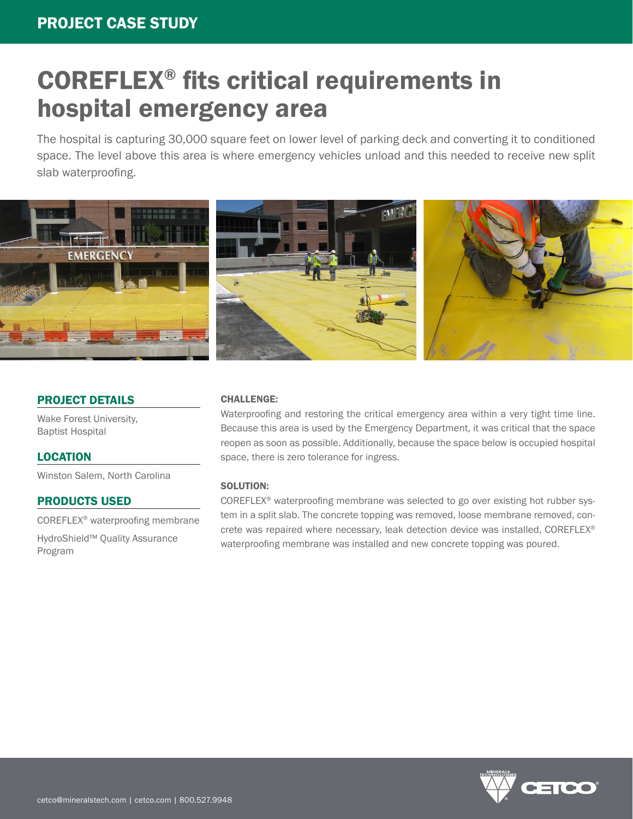# COREFLEX® fits critical requirements in hospital emergency area

The hospital is capturing 30,000 square feet on lower level of parking deck and converting it to conditioned space. The level above this area is where emergency vehicles unload and this needed to receive new split slab waterproofing.



# PROJECT DETAILS

Wake Forest University, Baptist Hospital

## LOCATION

Winston Salem, North Carolina

## PRODUCTS USED

COREFLEX® waterproofing membrane

HydroShield™ Quality Assurance Program

#### CHALLENGE:

Waterproofing and restoring the critical emergency area within a very tight time line. Because this area is used by the Emergency Department, it was critical that the space reopen as soon as possible. Additionally, because the space below is occupied hospital space, there is zero tolerance for ingress.

#### SOLUTION:

COREFLEX® waterproofing membrane was selected to go over existing hot rubber system in a split slab. The concrete topping was removed, loose membrane removed, concrete was repaired where necessary, leak detection device was installed, COREFLEX® waterproofing membrane was installed and new concrete topping was poured.